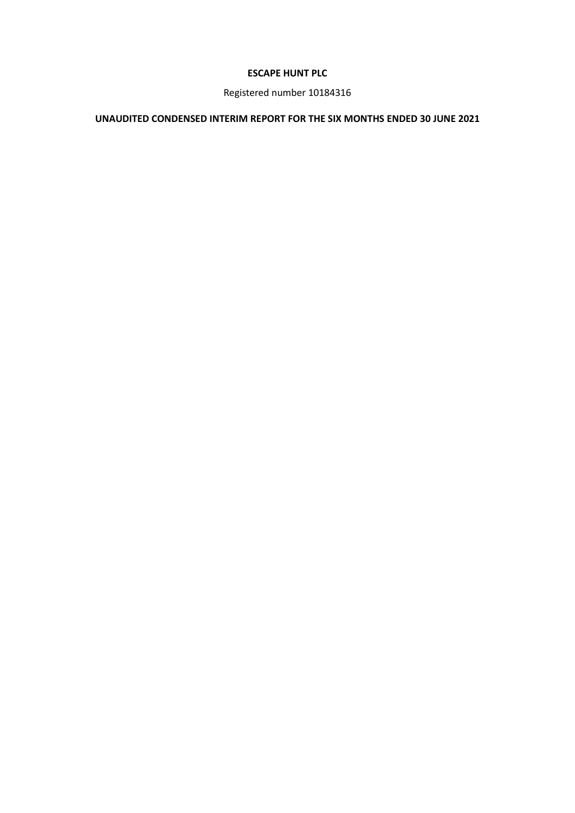# **ESCAPE HUNT PLC**

Registered number 10184316

# **UNAUDITED CONDENSED INTERIM REPORT FOR THE SIX MONTHS ENDED 30 JUNE 2021**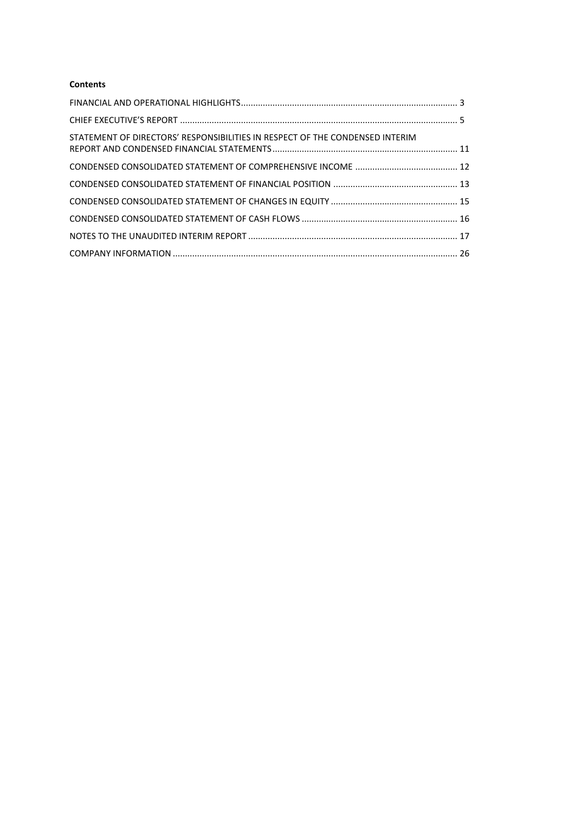## **Contents**

| STATEMENT OF DIRECTORS' RESPONSIBILITIES IN RESPECT OF THE CONDENSED INTERIM |  |
|------------------------------------------------------------------------------|--|
|                                                                              |  |
|                                                                              |  |
|                                                                              |  |
|                                                                              |  |
|                                                                              |  |
|                                                                              |  |
|                                                                              |  |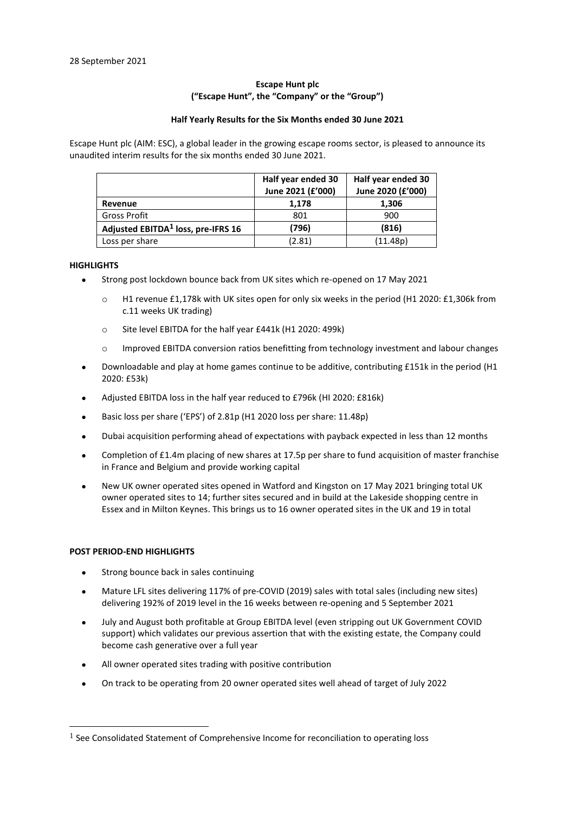## **Escape Hunt plc ("Escape Hunt", the "Company" or the "Group")**

#### **Half Yearly Results for the Six Months ended 30 June 2021**

Escape Hunt plc (AIM: ESC), a global leader in the growing escape rooms sector, is pleased to announce its unaudited interim results for the six months ended 30 June 2021.

|                                                | Half year ended 30<br>June 2021 (£'000) | Half year ended 30<br>June 2020 (£'000) |
|------------------------------------------------|-----------------------------------------|-----------------------------------------|
| Revenue                                        | 1,178                                   | 1,306                                   |
| Gross Profit                                   | 801                                     | 900                                     |
| Adjusted EBITDA <sup>1</sup> loss, pre-IFRS 16 | (796)                                   | (816)                                   |
| Loss per share                                 | (2.81)                                  | (11.48p)                                |

## <span id="page-2-0"></span>**HIGHLIGHTS**

- Strong post lockdown bounce back from UK sites which re-opened on 17 May 2021
	- o H1 revenue £1,178k with UK sites open for only six weeks in the period (H1 2020: £1,306k from c.11 weeks UK trading)
	- o Site level EBITDA for the half year £441k (H1 2020: 499k)
	- o Improved EBITDA conversion ratios benefitting from technology investment and labour changes
- Downloadable and play at home games continue to be additive, contributing £151k in the period (H1 2020: £53k)
- Adjusted EBITDA loss in the half year reduced to £796k (HI 2020: £816k)
- Basic loss per share ('EPS') of 2.81p (H1 2020 loss per share: 11.48p)
- Dubai acquisition performing ahead of expectations with payback expected in less than 12 months
- Completion of £1.4m placing of new shares at 17.5p per share to fund acquisition of master franchise in France and Belgium and provide working capital
- New UK owner operated sites opened in Watford and Kingston on 17 May 2021 bringing total UK owner operated sites to 14; further sites secured and in build at the Lakeside shopping centre in Essex and in Milton Keynes. This brings us to 16 owner operated sites in the UK and 19 in total

## **POST PERIOD-END HIGHLIGHTS**

- Strong bounce back in sales continuing
- Mature LFL sites delivering 117% of pre-COVID (2019) sales with total sales (including new sites) delivering 192% of 2019 level in the 16 weeks between re-opening and 5 September 2021
- July and August both profitable at Group EBITDA level (even stripping out UK Government COVID support) which validates our previous assertion that with the existing estate, the Company could become cash generative over a full year
- All owner operated sites trading with positive contribution
- On track to be operating from 20 owner operated sites well ahead of target of July 2022

 $<sup>1</sup>$  See Consolidated Statement of Comprehensive Income for reconciliation to operating loss</sup>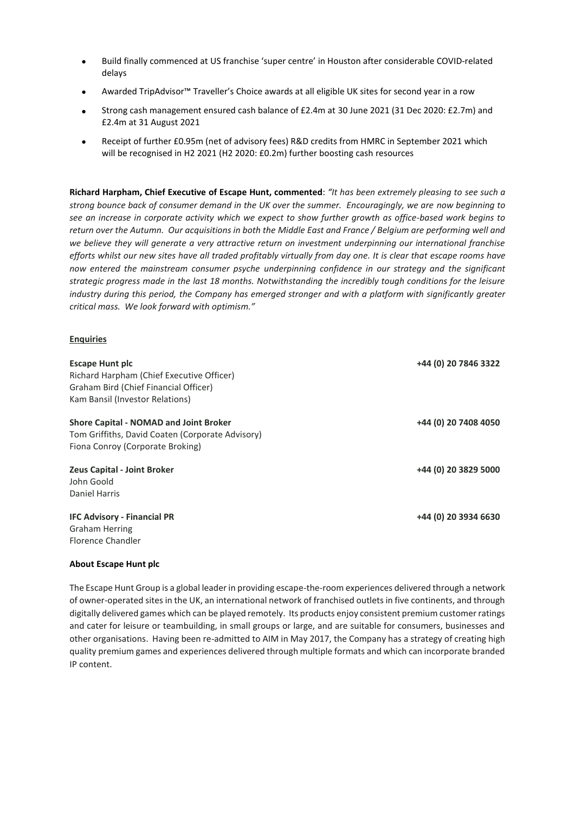- Build finally commenced at US franchise 'super centre' in Houston after considerable COVID-related delays
- Awarded TripAdvisor™ Traveller's Choice awards at all eligible UK sites for second year in a row
- Strong cash management ensured cash balance of £2.4m at 30 June 2021 (31 Dec 2020: £2.7m) and £2.4m at 31 August 2021
- Receipt of further £0.95m (net of advisory fees) R&D credits from HMRC in September 2021 which will be recognised in H2 2021 (H2 2020: £0.2m) further boosting cash resources

**Richard Harpham, Chief Executive of Escape Hunt, commented**: *"It has been extremely pleasing to see such a strong bounce back of consumer demand in the UK over the summer. Encouragingly, we are now beginning to see an increase in corporate activity which we expect to show further growth as office-based work begins to return over the Autumn. Our acquisitions in both the Middle East and France / Belgium are performing well and we believe they will generate a very attractive return on investment underpinning our international franchise efforts whilst our new sites have all traded profitably virtually from day one. It is clear that escape rooms have now entered the mainstream consumer psyche underpinning confidence in our strategy and the significant strategic progress made in the last 18 months. Notwithstanding the incredibly tough conditions for the leisure industry during this period, the Company has emerged stronger and with a platform with significantly greater critical mass. We look forward with optimism."*

## **Enquiries**

| <b>Escape Hunt plc</b><br>Richard Harpham (Chief Executive Officer)<br>Graham Bird (Chief Financial Officer)<br>Kam Bansil (Investor Relations) | +44 (0) 20 7846 3322 |
|-------------------------------------------------------------------------------------------------------------------------------------------------|----------------------|
| <b>Shore Capital - NOMAD and Joint Broker</b><br>Tom Griffiths, David Coaten (Corporate Advisory)<br>Fiona Conroy (Corporate Broking)           | +44 (0) 20 7408 4050 |
| <b>Zeus Capital - Joint Broker</b><br>John Goold<br>Daniel Harris                                                                               | +44 (0) 20 3829 5000 |
| <b>IFC Advisory - Financial PR</b><br><b>Graham Herring</b><br>Florence Chandler                                                                | +44 (0) 20 3934 6630 |

## **About Escape Hunt plc**

The Escape Hunt Group is a global leader in providing escape-the-room experiences delivered through a network of owner-operated sites in the UK, an international network of franchised outlets in five continents, and through digitally delivered games which can be played remotely. Its products enjoy consistent premium customer ratings and cater for leisure or teambuilding, in small groups or large, and are suitable for consumers, businesses and other organisations. Having been re-admitted to AIM in May 2017, the Company has a strategy of creating high quality premium games and experiences delivered through multiple formats and which can incorporate branded IP content.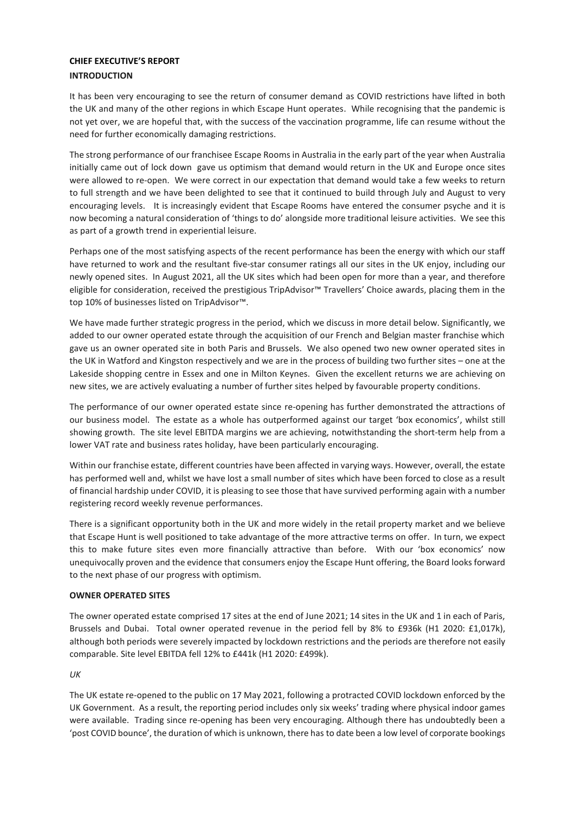## <span id="page-4-0"></span>**CHIEF EXECUTIVE'S REPORT INTRODUCTION**

It has been very encouraging to see the return of consumer demand as COVID restrictions have lifted in both the UK and many of the other regions in which Escape Hunt operates. While recognising that the pandemic is not yet over, we are hopeful that, with the success of the vaccination programme, life can resume without the need for further economically damaging restrictions.

The strong performance of our franchisee Escape Rooms in Australia in the early part of the year when Australia initially came out of lock down gave us optimism that demand would return in the UK and Europe once sites were allowed to re-open. We were correct in our expectation that demand would take a few weeks to return to full strength and we have been delighted to see that it continued to build through July and August to very encouraging levels. It is increasingly evident that Escape Rooms have entered the consumer psyche and it is now becoming a natural consideration of 'things to do' alongside more traditional leisure activities. We see this as part of a growth trend in experiential leisure.

Perhaps one of the most satisfying aspects of the recent performance has been the energy with which our staff have returned to work and the resultant five-star consumer ratings all our sites in the UK enjoy, including our newly opened sites. In August 2021, all the UK sites which had been open for more than a year, and therefore eligible for consideration, received the prestigious TripAdvisor™ Travellers' Choice awards, placing them in the top 10% of businesses listed on TripAdvisor™.

We have made further strategic progress in the period, which we discuss in more detail below. Significantly, we added to our owner operated estate through the acquisition of our French and Belgian master franchise which gave us an owner operated site in both Paris and Brussels. We also opened two new owner operated sites in the UK in Watford and Kingston respectively and we are in the process of building two further sites – one at the Lakeside shopping centre in Essex and one in Milton Keynes. Given the excellent returns we are achieving on new sites, we are actively evaluating a number of further sites helped by favourable property conditions.

The performance of our owner operated estate since re-opening has further demonstrated the attractions of our business model. The estate as a whole has outperformed against our target 'box economics', whilst still showing growth. The site level EBITDA margins we are achieving, notwithstanding the short-term help from a lower VAT rate and business rates holiday, have been particularly encouraging.

Within our franchise estate, different countries have been affected in varying ways. However, overall, the estate has performed well and, whilst we have lost a small number of sites which have been forced to close as a result of financial hardship under COVID, it is pleasing to see those that have survived performing again with a number registering record weekly revenue performances.

There is a significant opportunity both in the UK and more widely in the retail property market and we believe that Escape Hunt is well positioned to take advantage of the more attractive terms on offer. In turn, we expect this to make future sites even more financially attractive than before. With our 'box economics' now unequivocally proven and the evidence that consumers enjoy the Escape Hunt offering, the Board looks forward to the next phase of our progress with optimism.

## **OWNER OPERATED SITES**

The owner operated estate comprised 17 sites at the end of June 2021; 14 sites in the UK and 1 in each of Paris, Brussels and Dubai. Total owner operated revenue in the period fell by 8% to £936k (H1 2020: £1,017k), although both periods were severely impacted by lockdown restrictions and the periods are therefore not easily comparable. Site level EBITDA fell 12% to £441k (H1 2020: £499k).

## *UK*

The UK estate re-opened to the public on 17 May 2021, following a protracted COVID lockdown enforced by the UK Government. As a result, the reporting period includes only six weeks' trading where physical indoor games were available. Trading since re-opening has been very encouraging. Although there has undoubtedly been a 'post COVID bounce', the duration of which is unknown, there has to date been a low level of corporate bookings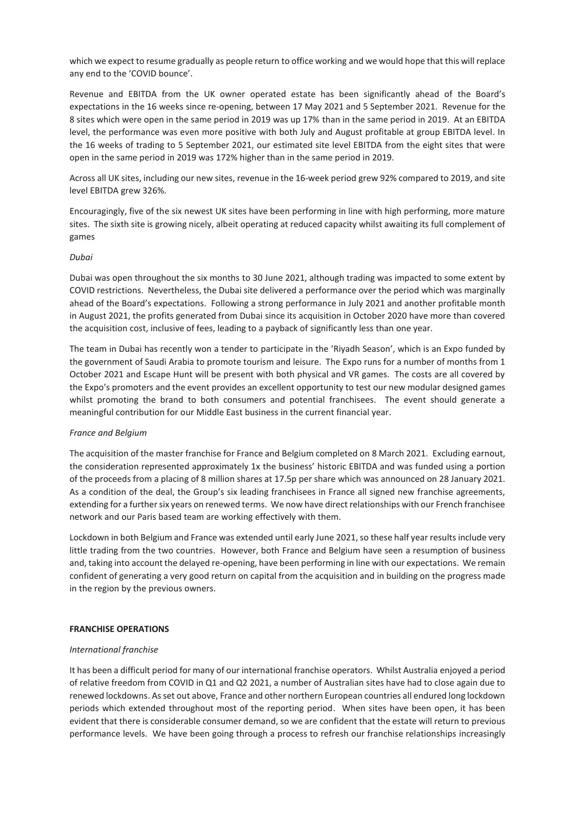which we expect to resume gradually as people return to office working and we would hope that this will replace any end to the 'COVID bounce'.

Revenue and EBITDA from the UK owner operated estate has been significantly ahead of the Board's expectations in the 16 weeks since re-opening, between 17 May 2021 and 5 September 2021. Revenue for the 8 sites which were open in the same period in 2019 was up 17% than in the same period in 2019. At an EBITDA level, the performance was even more positive with both July and August profitable at group EBITDA level. In the 16 weeks of trading to 5 September 2021, our estimated site level EBITDA from the eight sites that were open in the same period in 2019 was 172% higher than in the same period in 2019.

Across all UK sites, including our new sites, revenue in the 16-week period grew 92% compared to 2019, and site level EBITDA grew 326%.

Encouragingly, five of the six newest UK sites have been performing in line with high performing, more mature sites. The sixth site is growing nicely, albeit operating at reduced capacity whilst awaiting its full complement of games

### *Dubai*

Dubai was open throughout the six months to 30 June 2021, although trading was impacted to some extent by COVID restrictions. Nevertheless, the Dubai site delivered a performance over the period which was marginally ahead of the Board's expectations. Following a strong performance in July 2021 and another profitable month in August 2021, the profits generated from Dubai since its acquisition in October 2020 have more than covered the acquisition cost, inclusive of fees, leading to a payback of significantly less than one year.

The team in Dubai has recently won a tender to participate in the 'Riyadh Season', which is an Expo funded by the government of Saudi Arabia to promote tourism and leisure. The Expo runs for a number of months from 1 October 2021 and Escape Hunt will be present with both physical and VR games. The costs are all covered by the Expo's promoters and the event provides an excellent opportunity to test our new modular designed games whilst promoting the brand to both consumers and potential franchisees. The event should generate a meaningful contribution for our Middle East business in the current financial year.

## *France and Belgium*

The acquisition of the master franchise for France and Belgium completed on 8 March 2021. Excluding earnout, the consideration represented approximately 1x the business' historic EBITDA and was funded using a portion of the proceeds from a placing of 8 million shares at 17.5p per share which was announced on 28 January 2021. As a condition of the deal, the Group's six leading franchisees in France all signed new franchise agreements, extending for a further six years on renewed terms. We now have direct relationships with our French franchisee network and our Paris based team are working effectively with them.

Lockdown in both Belgium and France was extended until early June 2021, so these half year results include very little trading from the two countries. However, both France and Belgium have seen a resumption of business and, taking into account the delayed re-opening, have been performing in line with our expectations. We remain confident of generating a very good return on capital from the acquisition and in building on the progress made in the region by the previous owners.

## **FRANCHISE OPERATIONS**

#### *International franchise*

It has been a difficult period for many of our international franchise operators. Whilst Australia enjoyed a period of relative freedom from COVID in Q1 and Q2 2021, a number of Australian sites have had to close again due to renewed lockdowns. As set out above, France and other northern European countries all endured long lockdown periods which extended throughout most of the reporting period. When sites have been open, it has been evident that there is considerable consumer demand, so we are confident that the estate will return to previous performance levels. We have been going through a process to refresh our franchise relationships increasingly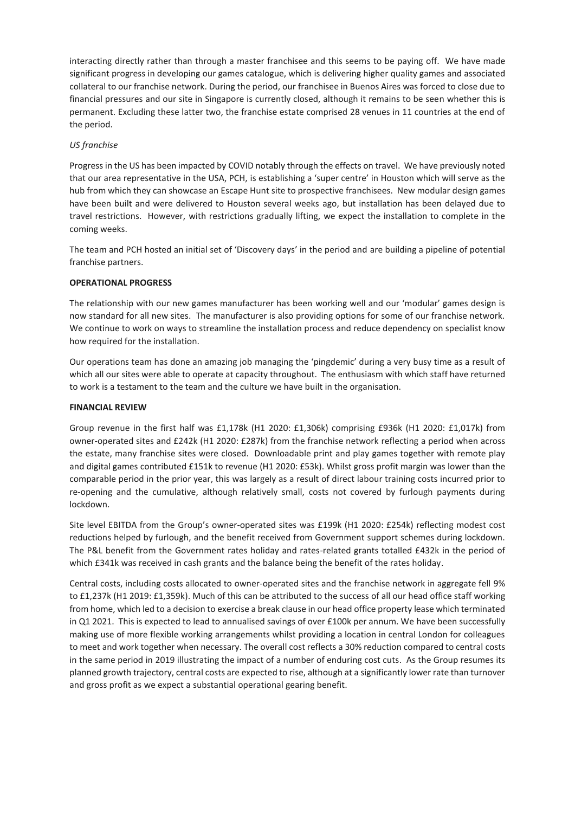interacting directly rather than through a master franchisee and this seems to be paying off. We have made significant progress in developing our games catalogue, which is delivering higher quality games and associated collateral to our franchise network. During the period, our franchisee in Buenos Aires was forced to close due to financial pressures and our site in Singapore is currently closed, although it remains to be seen whether this is permanent. Excluding these latter two, the franchise estate comprised 28 venues in 11 countries at the end of the period.

## *US franchise*

Progress in the US has been impacted by COVID notably through the effects on travel. We have previously noted that our area representative in the USA, PCH, is establishing a 'super centre' in Houston which will serve as the hub from which they can showcase an Escape Hunt site to prospective franchisees. New modular design games have been built and were delivered to Houston several weeks ago, but installation has been delayed due to travel restrictions. However, with restrictions gradually lifting, we expect the installation to complete in the coming weeks.

The team and PCH hosted an initial set of 'Discovery days' in the period and are building a pipeline of potential franchise partners.

## **OPERATIONAL PROGRESS**

The relationship with our new games manufacturer has been working well and our 'modular' games design is now standard for all new sites. The manufacturer is also providing options for some of our franchise network. We continue to work on ways to streamline the installation process and reduce dependency on specialist know how required for the installation.

Our operations team has done an amazing job managing the 'pingdemic' during a very busy time as a result of which all our sites were able to operate at capacity throughout. The enthusiasm with which staff have returned to work is a testament to the team and the culture we have built in the organisation.

## **FINANCIAL REVIEW**

Group revenue in the first half was £1,178k (H1 2020: £1,306k) comprising £936k (H1 2020: £1,017k) from owner-operated sites and £242k (H1 2020: £287k) from the franchise network reflecting a period when across the estate, many franchise sites were closed. Downloadable print and play games together with remote play and digital games contributed £151k to revenue (H1 2020: £53k). Whilst gross profit margin was lower than the comparable period in the prior year, this was largely as a result of direct labour training costs incurred prior to re-opening and the cumulative, although relatively small, costs not covered by furlough payments during lockdown.

Site level EBITDA from the Group's owner-operated sites was £199k (H1 2020: £254k) reflecting modest cost reductions helped by furlough, and the benefit received from Government support schemes during lockdown. The P&L benefit from the Government rates holiday and rates-related grants totalled £432k in the period of which £341k was received in cash grants and the balance being the benefit of the rates holiday.

Central costs, including costs allocated to owner-operated sites and the franchise network in aggregate fell 9% to £1,237k (H1 2019: £1,359k). Much of this can be attributed to the success of all our head office staff working from home, which led to a decision to exercise a break clause in our head office property lease which terminated in Q1 2021. This is expected to lead to annualised savings of over £100k per annum. We have been successfully making use of more flexible working arrangements whilst providing a location in central London for colleagues to meet and work together when necessary. The overall cost reflects a 30% reduction compared to central costs in the same period in 2019 illustrating the impact of a number of enduring cost cuts. As the Group resumes its planned growth trajectory, central costs are expected to rise, although at a significantly lower rate than turnover and gross profit as we expect a substantial operational gearing benefit.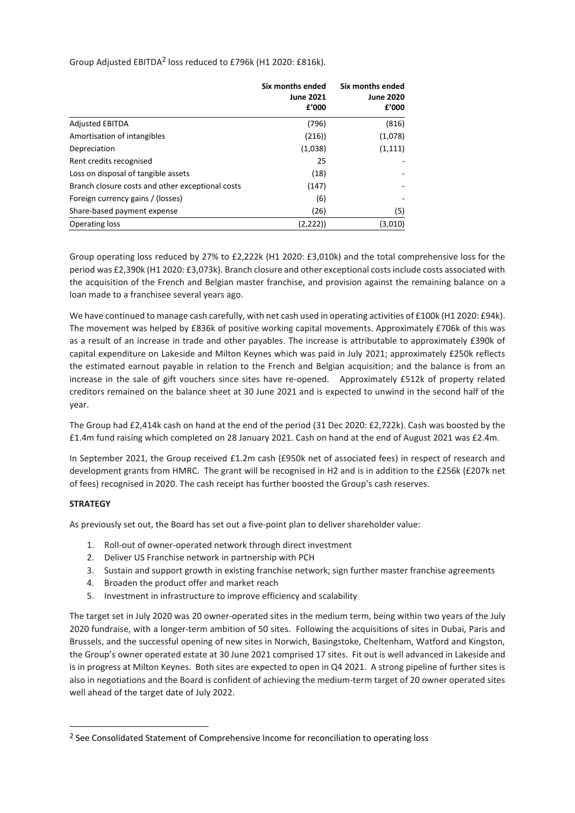Group Adjusted EBITDA<sup>2</sup> loss reduced to £796k (H1 2020: £816k).

|                                                  | Six months ended<br><b>June 2021</b><br>£'000 | Six months ended<br><b>June 2020</b><br>£'000 |
|--------------------------------------------------|-----------------------------------------------|-----------------------------------------------|
| <b>Adjusted EBITDA</b>                           | (796)                                         | (816)                                         |
| Amortisation of intangibles                      | (216)                                         | (1,078)                                       |
| Depreciation                                     | (1,038)                                       | (1, 111)                                      |
| Rent credits recognised                          | 25                                            |                                               |
| Loss on disposal of tangible assets              | (18)                                          |                                               |
| Branch closure costs and other exceptional costs | (147)                                         |                                               |
| Foreign currency gains / (losses)                | (6)                                           |                                               |
| Share-based payment expense                      | (26)                                          | (5)                                           |
| Operating loss                                   | (2,222)                                       | (3,010)                                       |

Group operating loss reduced by 27% to £2,222k (H1 2020: £3,010k) and the total comprehensive loss for the period was £2,390k (H1 2020: £3,073k). Branch closure and other exceptional costs include costs associated with the acquisition of the French and Belgian master franchise, and provision against the remaining balance on a loan made to a franchisee several years ago.

We have continued to manage cash carefully, with net cash used in operating activities of £100k (H1 2020: £94k). The movement was helped by £836k of positive working capital movements. Approximately £706k of this was as a result of an increase in trade and other payables. The increase is attributable to approximately £390k of capital expenditure on Lakeside and Milton Keynes which was paid in July 2021; approximately £250k reflects the estimated earnout payable in relation to the French and Belgian acquisition; and the balance is from an increase in the sale of gift vouchers since sites have re-opened. Approximately £512k of property related creditors remained on the balance sheet at 30 June 2021 and is expected to unwind in the second half of the year.

The Group had £2,414k cash on hand at the end of the period (31 Dec 2020: £2,722k). Cash was boosted by the £1.4m fund raising which completed on 28 January 2021. Cash on hand at the end of August 2021 was £2.4m.

In September 2021, the Group received £1.2m cash (£950k net of associated fees) in respect of research and development grants from HMRC. The grant will be recognised in H2 and is in addition to the £256k (£207k net of fees) recognised in 2020. The cash receipt has further boosted the Group's cash reserves.

## **STRATEGY**

As previously set out, the Board has set out a five-point plan to deliver shareholder value:

- 1. Roll-out of owner-operated network through direct investment
- 2. Deliver US Franchise network in partnership with PCH
- 3. Sustain and support growth in existing franchise network; sign further master franchise agreements
- 4. Broaden the product offer and market reach
- 5. Investment in infrastructure to improve efficiency and scalability

The target set in July 2020 was 20 owner-operated sites in the medium term, being within two years of the July 2020 fundraise, with a longer-term ambition of 50 sites. Following the acquisitions of sites in Dubai, Paris and Brussels, and the successful opening of new sites in Norwich, Basingstoke, Cheltenham, Watford and Kingston, the Group's owner operated estate at 30 June 2021 comprised 17 sites. Fit out is well advanced in Lakeside and is in progress at Milton Keynes. Both sites are expected to open in Q4 2021. A strong pipeline of further sites is also in negotiations and the Board is confident of achieving the medium-term target of 20 owner operated sites well ahead of the target date of July 2022.

<sup>&</sup>lt;sup>2</sup> See Consolidated Statement of Comprehensive Income for reconciliation to operating loss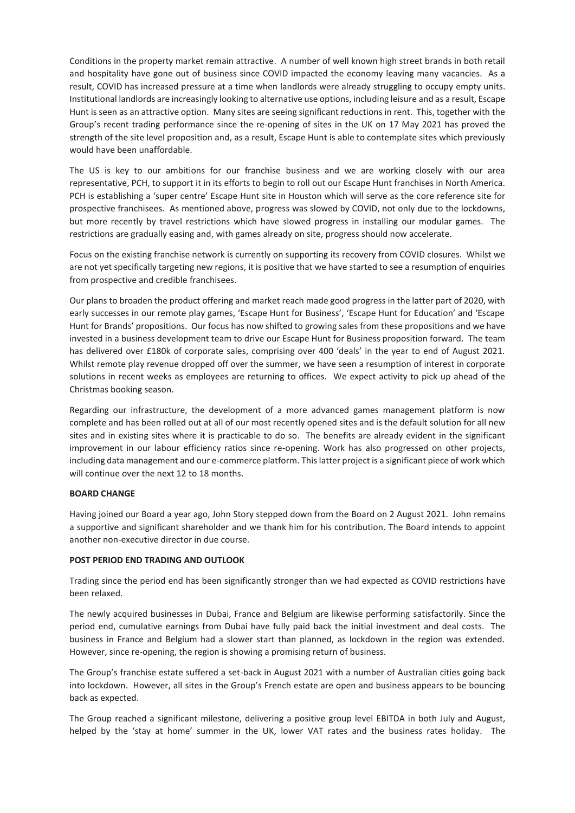Conditions in the property market remain attractive. A number of well known high street brands in both retail and hospitality have gone out of business since COVID impacted the economy leaving many vacancies. As a result, COVID has increased pressure at a time when landlords were already struggling to occupy empty units. Institutional landlords are increasingly looking to alternative use options, including leisure and as a result, Escape Hunt is seen as an attractive option. Many sites are seeing significant reductions in rent. This, together with the Group's recent trading performance since the re-opening of sites in the UK on 17 May 2021 has proved the strength of the site level proposition and, as a result, Escape Hunt is able to contemplate sites which previously would have been unaffordable.

The US is key to our ambitions for our franchise business and we are working closely with our area representative, PCH, to support it in its efforts to begin to roll out our Escape Hunt franchises in North America. PCH is establishing a 'super centre' Escape Hunt site in Houston which will serve as the core reference site for prospective franchisees. As mentioned above, progress was slowed by COVID, not only due to the lockdowns, but more recently by travel restrictions which have slowed progress in installing our modular games. The restrictions are gradually easing and, with games already on site, progress should now accelerate.

Focus on the existing franchise network is currently on supporting its recovery from COVID closures. Whilst we are not yet specifically targeting new regions, it is positive that we have started to see a resumption of enquiries from prospective and credible franchisees.

Our plans to broaden the product offering and market reach made good progress in the latter part of 2020, with early successes in our remote play games, 'Escape Hunt for Business', 'Escape Hunt for Education' and 'Escape Hunt for Brands' propositions. Our focus has now shifted to growing sales from these propositions and we have invested in a business development team to drive our Escape Hunt for Business proposition forward. The team has delivered over £180k of corporate sales, comprising over 400 'deals' in the year to end of August 2021. Whilst remote play revenue dropped off over the summer, we have seen a resumption of interest in corporate solutions in recent weeks as employees are returning to offices. We expect activity to pick up ahead of the Christmas booking season.

Regarding our infrastructure, the development of a more advanced games management platform is now complete and has been rolled out at all of our most recently opened sites and is the default solution for all new sites and in existing sites where it is practicable to do so. The benefits are already evident in the significant improvement in our labour efficiency ratios since re-opening. Work has also progressed on other projects, including data management and our e-commerce platform. This latter project is a significant piece of work which will continue over the next 12 to 18 months.

## **BOARD CHANGE**

Having joined our Board a year ago, John Story stepped down from the Board on 2 August 2021. John remains a supportive and significant shareholder and we thank him for his contribution. The Board intends to appoint another non-executive director in due course.

## **POST PERIOD END TRADING AND OUTLOOK**

Trading since the period end has been significantly stronger than we had expected as COVID restrictions have been relaxed.

The newly acquired businesses in Dubai, France and Belgium are likewise performing satisfactorily. Since the period end, cumulative earnings from Dubai have fully paid back the initial investment and deal costs. The business in France and Belgium had a slower start than planned, as lockdown in the region was extended. However, since re-opening, the region is showing a promising return of business.

The Group's franchise estate suffered a set-back in August 2021 with a number of Australian cities going back into lockdown. However, all sites in the Group's French estate are open and business appears to be bouncing back as expected.

The Group reached a significant milestone, delivering a positive group level EBITDA in both July and August, helped by the 'stay at home' summer in the UK, lower VAT rates and the business rates holiday. The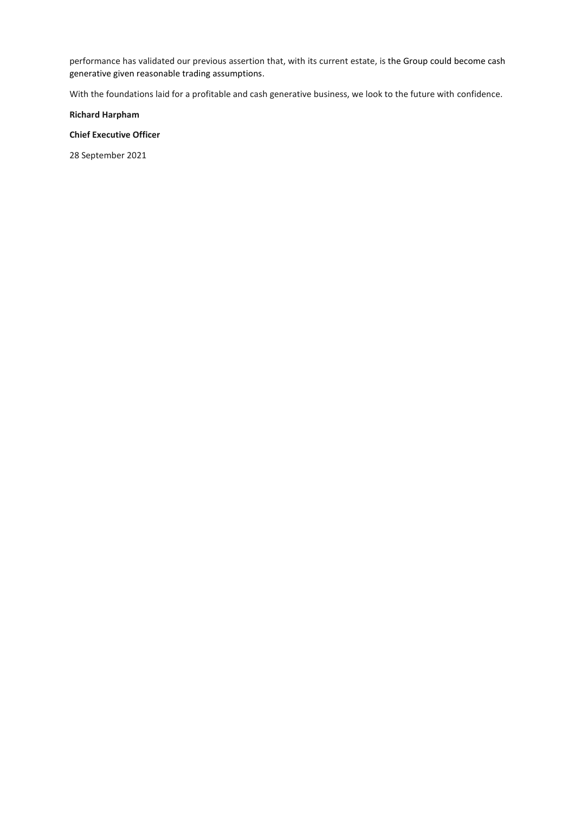performance has validated our previous assertion that, with its current estate, is the Group could become cash generative given reasonable trading assumptions.

With the foundations laid for a profitable and cash generative business, we look to the future with confidence.

**Richard Harpham** 

**Chief Executive Officer**

28 September 2021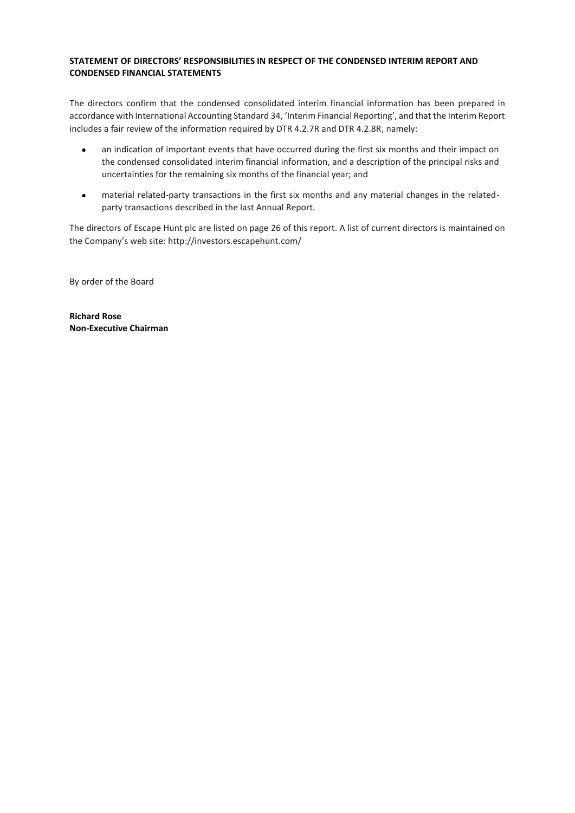## <span id="page-10-0"></span>**STATEMENT OF DIRECTORS' RESPONSIBILITIES IN RESPECT OF THE CONDENSED INTERIM REPORT AND CONDENSED FINANCIAL STATEMENTS**

The directors confirm that the condensed consolidated interim financial information has been prepared in accordance with International Accounting Standard 34, 'Interim Financial Reporting', and that the Interim Report includes a fair review of the information required by DTR 4.2.7R and DTR 4.2.8R, namely:

- an indication of important events that have occurred during the first six months and their impact on the condensed consolidated interim financial information, and a description of the principal risks and uncertainties for the remaining six months of the financial year; and
- material related-party transactions in the first six months and any material changes in the relatedparty transactions described in the last Annual Report.

The directors of Escape Hunt plc are listed on page 26 of this report. A list of current directors is maintained on the Company's web site: <http://investors.escapehunt.com/>

By order of the Board

**Richard Rose Non-Executive Chairman**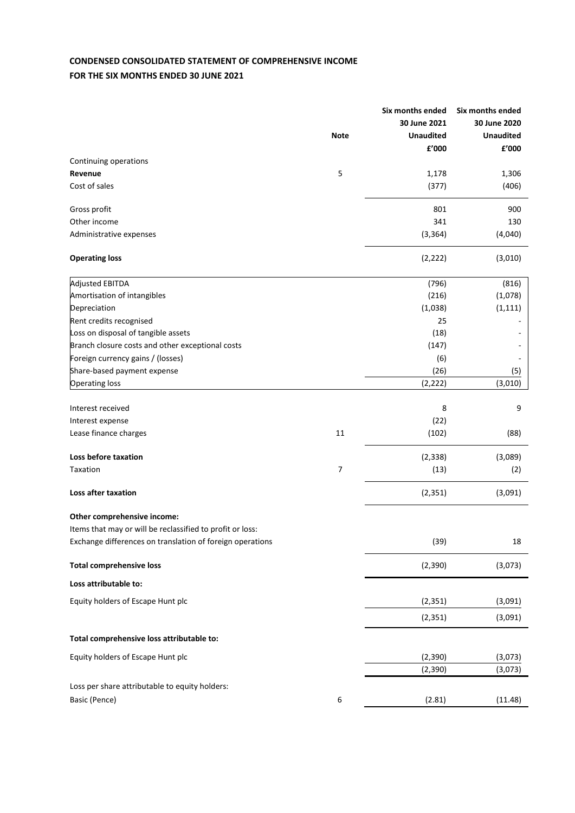# <span id="page-11-0"></span>**CONDENSED CONSOLIDATED STATEMENT OF COMPREHENSIVE INCOME FOR THE SIX MONTHS ENDED 30 JUNE 2021**

|                                                           |             | Six months ended | Six months ended |
|-----------------------------------------------------------|-------------|------------------|------------------|
|                                                           |             | 30 June 2021     | 30 June 2020     |
|                                                           | <b>Note</b> | <b>Unaudited</b> | <b>Unaudited</b> |
|                                                           |             | £'000            | £'000            |
| Continuing operations                                     |             |                  |                  |
| Revenue                                                   | 5           | 1,178            | 1,306            |
| Cost of sales                                             |             | (377)            | (406)            |
| Gross profit                                              |             | 801              | 900              |
| Other income                                              |             | 341              | 130              |
| Administrative expenses                                   |             | (3, 364)         | (4,040)          |
| <b>Operating loss</b>                                     |             | (2, 222)         | (3,010)          |
| <b>Adjusted EBITDA</b>                                    |             | (796)            | (816)            |
| Amortisation of intangibles                               |             | (216)            | (1,078)          |
| Depreciation                                              |             | (1,038)          | (1, 111)         |
| Rent credits recognised                                   |             | 25               |                  |
| Loss on disposal of tangible assets                       |             | (18)             |                  |
| Branch closure costs and other exceptional costs          |             | (147)            |                  |
| Foreign currency gains / (losses)                         |             | (6)              |                  |
| Share-based payment expense                               |             | (26)             | (5)              |
| <b>Operating loss</b>                                     |             | (2, 222)         | (3,010)          |
| Interest received                                         |             | 8                | 9                |
| Interest expense                                          |             | (22)             |                  |
| Lease finance charges                                     | 11          | (102)            | (88)             |
|                                                           |             |                  |                  |
| Loss before taxation                                      |             | (2, 338)         | (3,089)          |
| Taxation                                                  | 7           | (13)             | (2)              |
| Loss after taxation                                       |             | (2, 351)         | (3,091)          |
| Other comprehensive income:                               |             |                  |                  |
| Items that may or will be reclassified to profit or loss: |             |                  |                  |
| Exchange differences on translation of foreign operations |             | (39)             | 18               |
| <b>Total comprehensive loss</b>                           |             | (2, 390)         | (3,073)          |
| Loss attributable to:                                     |             |                  |                  |
| Equity holders of Escape Hunt plc                         |             | (2, 351)         | (3,091)          |
|                                                           |             | (2, 351)         | (3,091)          |
| Total comprehensive loss attributable to:                 |             |                  |                  |
| Equity holders of Escape Hunt plc                         |             | (2, 390)         | (3,073)          |
|                                                           |             | (2, 390)         | (3,073)          |
| Loss per share attributable to equity holders:            |             |                  |                  |
| Basic (Pence)                                             | 6           | (2.81)           | (11.48)          |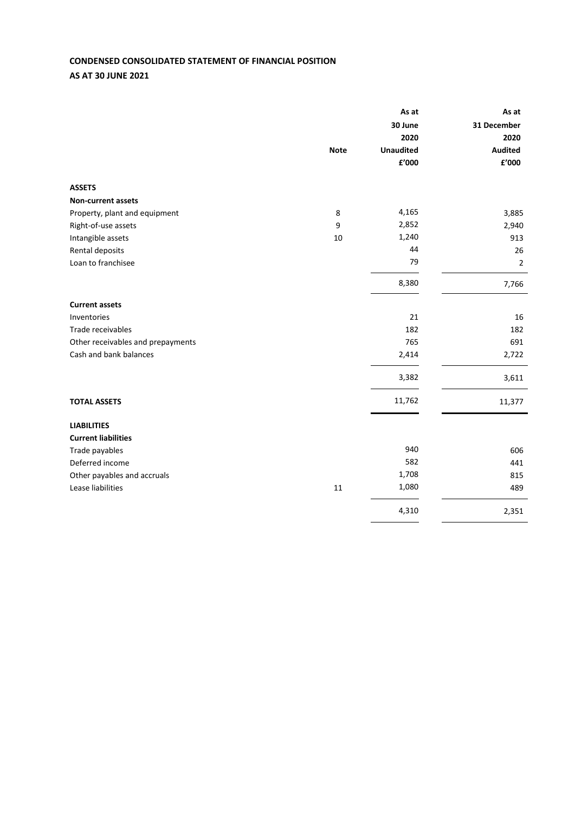# <span id="page-12-0"></span>**CONDENSED CONSOLIDATED STATEMENT OF FINANCIAL POSITION AS AT 30 JUNE 2021**

|                                   |             | As at            | As at                  |
|-----------------------------------|-------------|------------------|------------------------|
|                                   |             | 30 June          | 31 December            |
|                                   |             | 2020             | 2020                   |
|                                   | <b>Note</b> | <b>Unaudited</b> | <b>Audited</b>         |
|                                   |             | £'000            | ${\bf f}^{\prime}$ 000 |
| <b>ASSETS</b>                     |             |                  |                        |
| <b>Non-current assets</b>         |             |                  |                        |
| Property, plant and equipment     | 8           | 4,165            | 3,885                  |
| Right-of-use assets               | 9           | 2,852            | 2,940                  |
| Intangible assets                 | 10          | 1,240            | 913                    |
| Rental deposits                   |             | 44               | 26                     |
| Loan to franchisee                |             | 79               | $\overline{2}$         |
|                                   |             | 8,380            | 7,766                  |
| <b>Current assets</b>             |             |                  |                        |
| Inventories                       |             | 21               | 16                     |
| Trade receivables                 |             | 182              | 182                    |
| Other receivables and prepayments |             | 765              | 691                    |
| Cash and bank balances            |             | 2,414            | 2,722                  |
|                                   |             | 3,382            | 3,611                  |
| <b>TOTAL ASSETS</b>               |             | 11,762           | 11,377                 |
| <b>LIABILITIES</b>                |             |                  |                        |
| <b>Current liabilities</b>        |             |                  |                        |
| Trade payables                    |             | 940              | 606                    |
| Deferred income                   |             | 582              | 441                    |
| Other payables and accruals       |             | 1,708            | 815                    |
| Lease liabilities                 | 11          | 1,080            | 489                    |
|                                   |             | 4,310            | 2,351                  |
|                                   |             |                  |                        |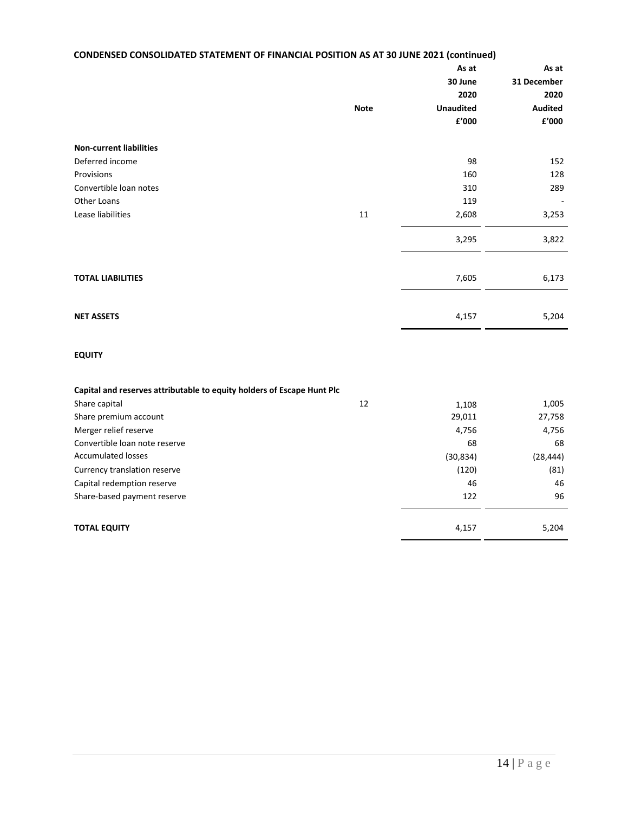# **CONDENSED CONSOLIDATED STATEMENT OF FINANCIAL POSITION AS AT 30 JUNE 2021 (continued)**

|                                |             | As at                  | As at                    |
|--------------------------------|-------------|------------------------|--------------------------|
|                                |             | 30 June                | 31 December              |
|                                |             | 2020                   | 2020                     |
|                                | <b>Note</b> | <b>Unaudited</b>       | Audited                  |
|                                |             | ${\bf f}^{\prime}$ 000 | ${\bf f}^{\prime}$ 000   |
| <b>Non-current liabilities</b> |             |                        |                          |
| Deferred income                |             | 98                     | 152                      |
| Provisions                     |             | 160                    | 128                      |
| Convertible loan notes         |             | 310                    | 289                      |
| Other Loans                    |             | 119                    | $\overline{\phantom{a}}$ |
| Lease liabilities              | $11\,$      | 2,608                  | 3,253                    |
|                                |             | 3,295                  | 3,822                    |
|                                |             |                        |                          |
| <b>TOTAL LIABILITIES</b>       |             | 7,605                  | 6,173                    |
|                                |             |                        |                          |
| <b>NET ASSETS</b>              |             | 4,157                  | 5,204                    |
|                                |             |                        |                          |

## **EQUITY**

| Capital and reserves attributable to equity holders of Escape Hunt Plc |           |           |
|------------------------------------------------------------------------|-----------|-----------|
| 12<br>Share capital                                                    | 1,108     | 1,005     |
| Share premium account                                                  | 29,011    | 27,758    |
| Merger relief reserve                                                  | 4,756     | 4,756     |
| Convertible loan note reserve                                          | 68        | 68        |
| Accumulated losses                                                     | (30, 834) | (28, 444) |
| Currency translation reserve                                           | (120)     | (81)      |
| Capital redemption reserve                                             | 46        | 46        |
| Share-based payment reserve                                            | 122       | 96        |
|                                                                        |           |           |
| <b>TOTAL EQUITY</b>                                                    | 4,157     | 5,204     |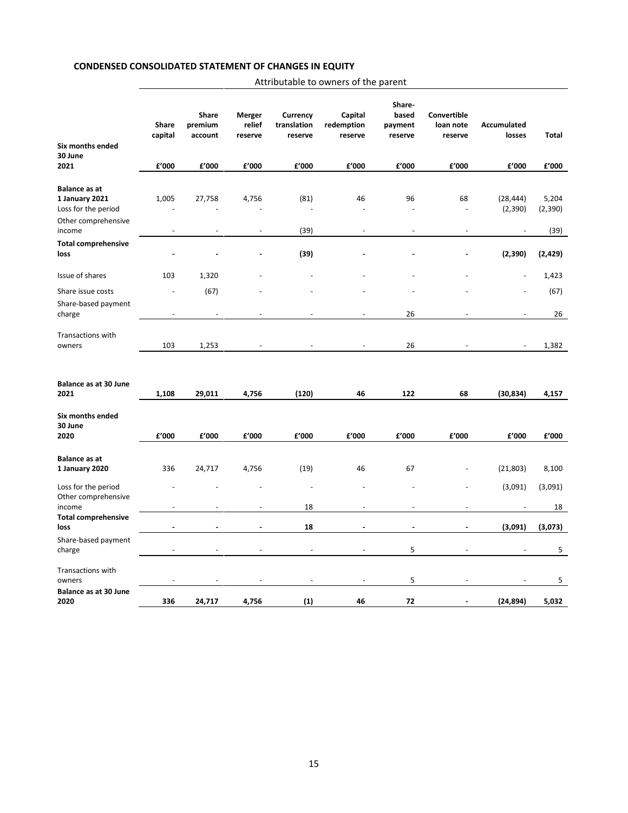## **CONDENSED CONSOLIDATED STATEMENT OF CHANGES IN EQUITY**

| Attributable to owners of the parent |  |
|--------------------------------------|--|
|--------------------------------------|--|

<span id="page-14-1"></span><span id="page-14-0"></span>

|                                                               | Share<br>capital | Share<br>premium<br>account | Merger<br>relief<br>reserve | Currency<br>translation<br>reserve | Capital<br>redemption<br>reserve | Share-<br>based<br>payment<br>reserve | <b>Convertible</b><br>loan note<br>reserve | Accumulated<br>losses    | Total            |
|---------------------------------------------------------------|------------------|-----------------------------|-----------------------------|------------------------------------|----------------------------------|---------------------------------------|--------------------------------------------|--------------------------|------------------|
| Six months ended                                              |                  |                             |                             |                                    |                                  |                                       |                                            |                          |                  |
| 30 June<br>2021                                               | £'000            | £'000                       | £'000                       | £'000                              | £'000                            | £'000                                 | £'000                                      | £'000                    | £'000            |
|                                                               |                  |                             |                             |                                    |                                  |                                       |                                            |                          |                  |
| <b>Balance as at</b><br>1 January 2021<br>Loss for the period | 1,005            | 27,758                      | 4,756                       | (81)<br>÷,                         | 46                               | 96                                    | 68                                         | (28, 444)<br>(2, 390)    | 5,204<br>(2,390) |
| Other comprehensive<br>income                                 |                  |                             | $\overline{\phantom{a}}$    | (39)                               |                                  |                                       |                                            |                          | (39)             |
| <b>Total comprehensive</b><br>loss                            |                  |                             |                             | (39)                               |                                  |                                       |                                            | (2, 390)                 | (2,429)          |
| Issue of shares                                               | 103              | 1,320                       |                             |                                    |                                  |                                       |                                            |                          | 1,423            |
| Share issue costs                                             |                  | (67)                        |                             |                                    |                                  |                                       |                                            |                          | (67)             |
| Share-based payment<br>charge                                 |                  |                             | ÷,                          | $\overline{\phantom{a}}$           | $\overline{a}$                   | 26                                    |                                            | $\overline{\phantom{a}}$ | 26               |
| Transactions with<br>owners                                   | 103              | 1,253                       | ÷,                          |                                    | $\overline{\phantom{a}}$         | 26                                    | $\overline{\phantom{a}}$                   | $\overline{\phantom{a}}$ | 1,382            |
| <b>Balance as at 30 June</b><br>2021                          | 1,108            | 29,011                      | 4,756                       | (120)                              | 46                               | 122                                   | 68                                         | (30, 834)                | 4,157            |
| Six months ended<br>30 June<br>2020                           | £'000            | £'000                       | £'000                       | £'000                              | £'000                            | £'000                                 | £'000                                      | £'000                    | £'000            |
| <b>Balance as at</b><br>1 January 2020                        | 336              | 24,717                      | 4,756                       | (19)                               | 46                               | 67                                    |                                            | (21, 803)                | 8,100            |
| Loss for the period<br>Other comprehensive                    |                  |                             |                             | $\overline{a}$                     |                                  |                                       |                                            | (3,091)                  | (3,091)          |
| income                                                        |                  |                             | $\overline{a}$              | 18                                 |                                  | $\overline{a}$                        |                                            |                          | 18               |
| <b>Total comprehensive</b><br>loss                            |                  |                             |                             | 18                                 |                                  | ÷                                     |                                            | (3,091)                  | (3,073)          |
| Share-based payment<br>charge                                 |                  |                             | $\overline{a}$              | $\overline{a}$                     | L,                               | 5                                     |                                            |                          | 5                |
| Transactions with<br>owners                                   |                  |                             |                             |                                    |                                  | 5                                     |                                            |                          | 5                |
| <b>Balance as at 30 June</b><br>2020                          | 336              | 24,717                      | 4,756                       | (1)                                | 46                               | 72                                    |                                            | (24, 894)                | 5,032            |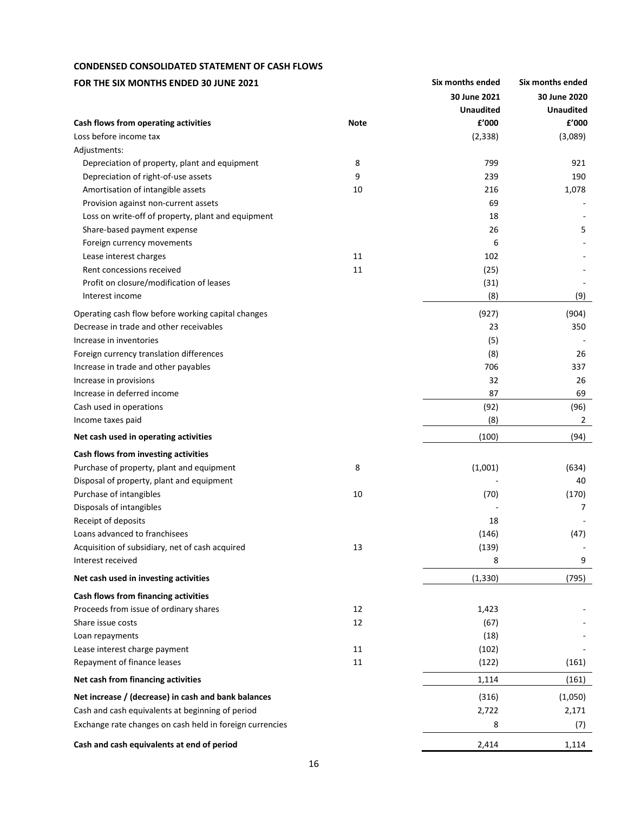## **CONDENSED CONSOLIDATED STATEMENT OF CASH FLOWS**

| FOR THE SIX MONTHS ENDED 30 JUNE 2021                    |             | Six months ended | Six months ended |
|----------------------------------------------------------|-------------|------------------|------------------|
|                                                          |             | 30 June 2021     | 30 June 2020     |
|                                                          |             | <b>Unaudited</b> | <b>Unaudited</b> |
| Cash flows from operating activities                     | <b>Note</b> | £'000            | £'000            |
| Loss before income tax                                   |             | (2, 338)         | (3,089)          |
| Adjustments:                                             |             |                  |                  |
| Depreciation of property, plant and equipment            | 8           | 799              | 921              |
| Depreciation of right-of-use assets                      | 9           | 239              | 190              |
| Amortisation of intangible assets                        | 10          | 216              | 1,078            |
| Provision against non-current assets                     |             | 69               |                  |
| Loss on write-off of property, plant and equipment       |             | 18               |                  |
| Share-based payment expense                              |             | 26               | 5                |
| Foreign currency movements                               |             | 6                |                  |
| Lease interest charges                                   | 11          | 102              |                  |
| Rent concessions received                                | 11          | (25)             |                  |
| Profit on closure/modification of leases                 |             | (31)             |                  |
| Interest income                                          |             | (8)              | (9)              |
| Operating cash flow before working capital changes       |             | (927)            | (904)            |
| Decrease in trade and other receivables                  |             | 23               | 350              |
| Increase in inventories                                  |             | (5)              |                  |
| Foreign currency translation differences                 |             | (8)              | 26               |
| Increase in trade and other payables                     |             | 706              | 337              |
| Increase in provisions                                   |             | 32               | 26               |
| Increase in deferred income                              |             | 87               | 69               |
| Cash used in operations                                  |             | (92)             | (96)             |
| Income taxes paid                                        |             | (8)              | 2                |
| Net cash used in operating activities                    |             | (100)            | (94)             |
| Cash flows from investing activities                     |             |                  |                  |
| Purchase of property, plant and equipment                | 8           | (1,001)          | (634)            |
| Disposal of property, plant and equipment                |             |                  | 40               |
| Purchase of intangibles                                  | 10          | (70)             | (170)            |
| Disposals of intangibles                                 |             |                  | 7                |
| Receipt of deposits                                      |             | 18               |                  |
| Loans advanced to franchisees                            |             | (146)            | (47)             |
| Acquisition of subsidiary, net of cash acquired          | 13          | (139)            |                  |
| Interest received                                        |             | 8                | 9                |
| Net cash used in investing activities                    |             | (1, 330)         | (795)            |
| Cash flows from financing activities                     |             |                  |                  |
| Proceeds from issue of ordinary shares                   | 12          | 1,423            |                  |
| Share issue costs                                        | 12          | (67)             |                  |
| Loan repayments                                          |             | (18)             |                  |
| Lease interest charge payment                            | 11          | (102)            |                  |
| Repayment of finance leases                              | 11          | (122)            | (161)            |
| Net cash from financing activities                       |             | 1,114            | (161)            |
| Net increase / (decrease) in cash and bank balances      |             | (316)            | (1,050)          |
| Cash and cash equivalents at beginning of period         |             | 2,722            | 2,171            |
| Exchange rate changes on cash held in foreign currencies |             | 8                | (7)              |
| Cash and cash equivalents at end of period               |             | 2,414            | 1,114            |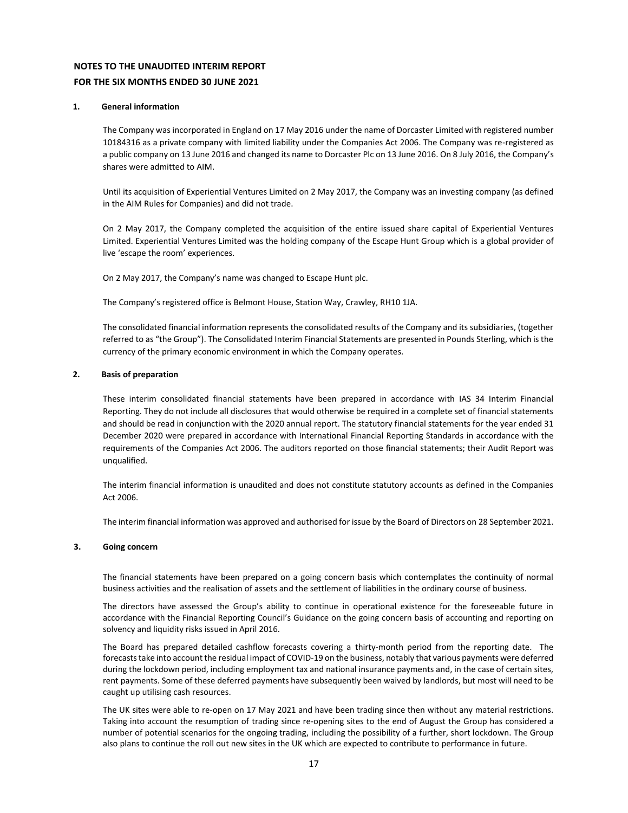## **NOTES TO THE UNAUDITED INTERIM REPORT FOR THE SIX MONTHS ENDED 30 JUNE 2021**

#### <span id="page-16-0"></span>**1. General information**

The Company was incorporated in England on 17 May 2016 under the name of Dorcaster Limited with registered number 10184316 as a private company with limited liability under the Companies Act 2006. The Company was re-registered as a public company on 13 June 2016 and changed its name to Dorcaster Plc on 13 June 2016. On 8 July 2016, the Company's shares were admitted to AIM.

Until its acquisition of Experiential Ventures Limited on 2 May 2017, the Company was an investing company (as defined in the AIM Rules for Companies) and did not trade.

On 2 May 2017, the Company completed the acquisition of the entire issued share capital of Experiential Ventures Limited. Experiential Ventures Limited was the holding company of the Escape Hunt Group which is a global provider of live 'escape the room' experiences.

On 2 May 2017, the Company's name was changed to Escape Hunt plc.

The Company's registered office is Belmont House, Station Way, Crawley, RH10 1JA.

The consolidated financial information represents the consolidated results of the Company and its subsidiaries, (together referred to as "the Group"). The Consolidated Interim Financial Statements are presented in Pounds Sterling, which is the currency of the primary economic environment in which the Company operates.

#### **2. Basis of preparation**

These interim consolidated financial statements have been prepared in accordance with IAS 34 Interim Financial Reporting. They do not include all disclosures that would otherwise be required in a complete set of financial statements and should be read in conjunction with the 2020 annual report. The statutory financial statements for the year ended 31 December 2020 were prepared in accordance with International Financial Reporting Standards in accordance with the requirements of the Companies Act 2006. The auditors reported on those financial statements; their Audit Report was unqualified.

The interim financial information is unaudited and does not constitute statutory accounts as defined in the Companies Act 2006.

The interim financial information was approved and authorised for issue by the Board of Directors on 28 September 2021.

#### **3. Going concern**

The financial statements have been prepared on a going concern basis which contemplates the continuity of normal business activities and the realisation of assets and the settlement of liabilities in the ordinary course of business.

The directors have assessed the Group's ability to continue in operational existence for the foreseeable future in accordance with the Financial Reporting Council's Guidance on the going concern basis of accounting and reporting on solvency and liquidity risks issued in April 2016.

The Board has prepared detailed cashflow forecasts covering a thirty-month period from the reporting date. The forecasts take into account the residual impact of COVID-19 on the business, notably that various payments were deferred during the lockdown period, including employment tax and national insurance payments and, in the case of certain sites, rent payments. Some of these deferred payments have subsequently been waived by landlords, but most will need to be caught up utilising cash resources.

The UK sites were able to re-open on 17 May 2021 and have been trading since then without any material restrictions. Taking into account the resumption of trading since re-opening sites to the end of August the Group has considered a number of potential scenarios for the ongoing trading, including the possibility of a further, short lockdown. The Group also plans to continue the roll out new sites in the UK which are expected to contribute to performance in future.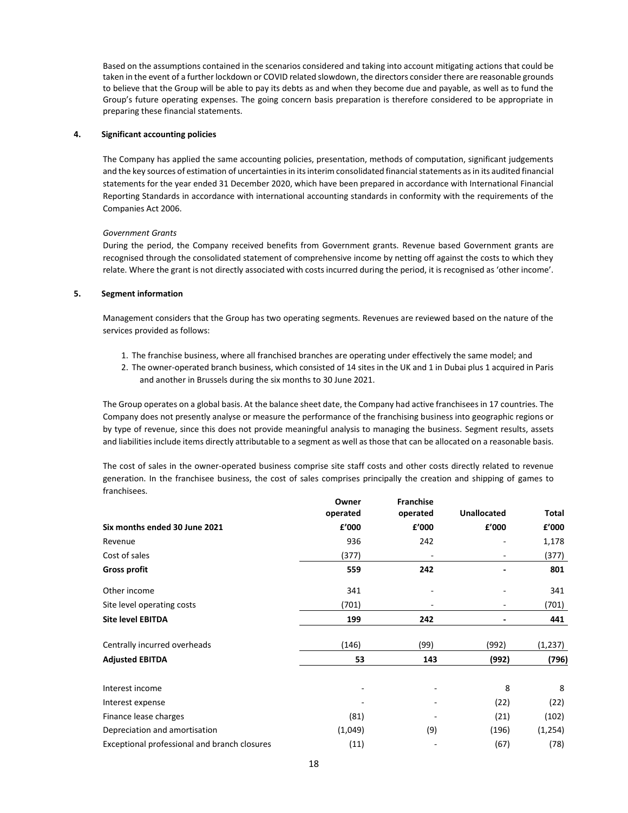Based on the assumptions contained in the scenarios considered and taking into account mitigating actions that could be taken in the event of a further lockdown or COVID related slowdown, the directors consider there are reasonable grounds to believe that the Group will be able to pay its debts as and when they become due and payable, as well as to fund the Group's future operating expenses. The going concern basis preparation is therefore considered to be appropriate in preparing these financial statements.

#### **4. Significant accounting policies**

The Company has applied the same accounting policies, presentation, methods of computation, significant judgements and the key sources of estimation of uncertainties in its interim consolidated financial statements as in its audited financial statements for the year ended 31 December 2020, which have been prepared in accordance with International Financial Reporting Standards in accordance with international accounting standards in conformity with the requirements of the Companies Act 2006.

#### *Government Grants*

During the period, the Company received benefits from Government grants. Revenue based Government grants are recognised through the consolidated statement of comprehensive income by netting off against the costs to which they relate. Where the grant is not directly associated with costs incurred during the period, it is recognised as 'other income'.

#### **5. Segment information**

Management considers that the Group has two operating segments. Revenues are reviewed based on the nature of the services provided as follows:

- 1. The franchise business, where all franchised branches are operating under effectively the same model; and
- 2. The owner-operated branch business, which consisted of 14 sites in the UK and 1 in Dubai plus 1 acquired in Paris and another in Brussels during the six months to 30 June 2021.

The Group operates on a global basis. At the balance sheet date, the Company had active franchisees in 17 countries. The Company does not presently analyse or measure the performance of the franchising business into geographic regions or by type of revenue, since this does not provide meaningful analysis to managing the business. Segment results, assets and liabilities include items directly attributable to a segment as well as those that can be allocated on a reasonable basis.

The cost of sales in the owner-operated business comprise site staff costs and other costs directly related to revenue generation. In the franchisee business, the cost of sales comprises principally the creation and shipping of games to franchisees.

|                                              | Owner<br>operated | <b>Franchise</b><br>operated | <b>Unallocated</b> | Total    |
|----------------------------------------------|-------------------|------------------------------|--------------------|----------|
| Six months ended 30 June 2021                | £'000             | f'000                        | £'000              | £'000    |
| Revenue                                      | 936               | 242                          |                    | 1,178    |
| Cost of sales                                | (377)             |                              |                    | (377)    |
| <b>Gross profit</b>                          | 559               | 242                          |                    | 801      |
| Other income                                 | 341               |                              |                    | 341      |
| Site level operating costs                   | (701)             |                              |                    | (701)    |
| <b>Site level EBITDA</b>                     | 199               | 242                          |                    | 441      |
| Centrally incurred overheads                 | (146)             | (99)                         | (992)              | (1, 237) |
| <b>Adjusted EBITDA</b>                       | 53                | 143                          | (992)              | (796)    |
| Interest income                              |                   |                              | 8                  | 8        |
| Interest expense                             |                   |                              | (22)               | (22)     |
| Finance lease charges                        | (81)              |                              | (21)               | (102)    |
| Depreciation and amortisation                | (1,049)           | (9)                          | (196)              | (1, 254) |
| Exceptional professional and branch closures | (11)              |                              | (67)               | (78)     |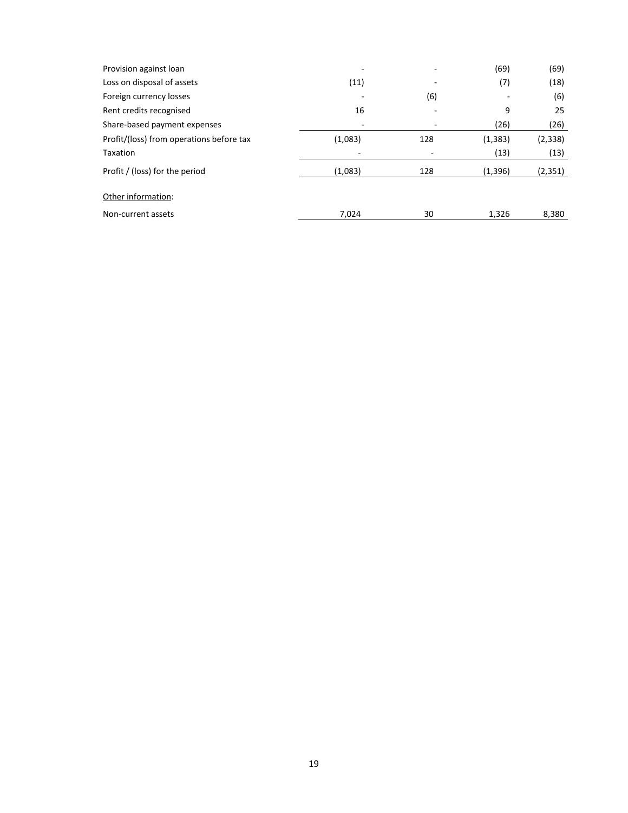| Provision against loan                   |         |     | (69)     | (69)     |
|------------------------------------------|---------|-----|----------|----------|
| Loss on disposal of assets               | (11)    |     | (7)      | (18)     |
| Foreign currency losses                  |         | (6) |          | (6)      |
| Rent credits recognised                  | 16      |     | 9        | 25       |
| Share-based payment expenses             | -       |     | (26)     | (26)     |
| Profit/(loss) from operations before tax | (1,083) | 128 | (1, 383) | (2, 338) |
| Taxation                                 | -       | -   | (13)     | (13)     |
| Profit / (loss) for the period           | (1,083) | 128 | (1,396)  | (2, 351) |
| Other information:                       |         |     |          |          |
| Non-current assets                       | 7,024   | 30  | 1,326    | 8,380    |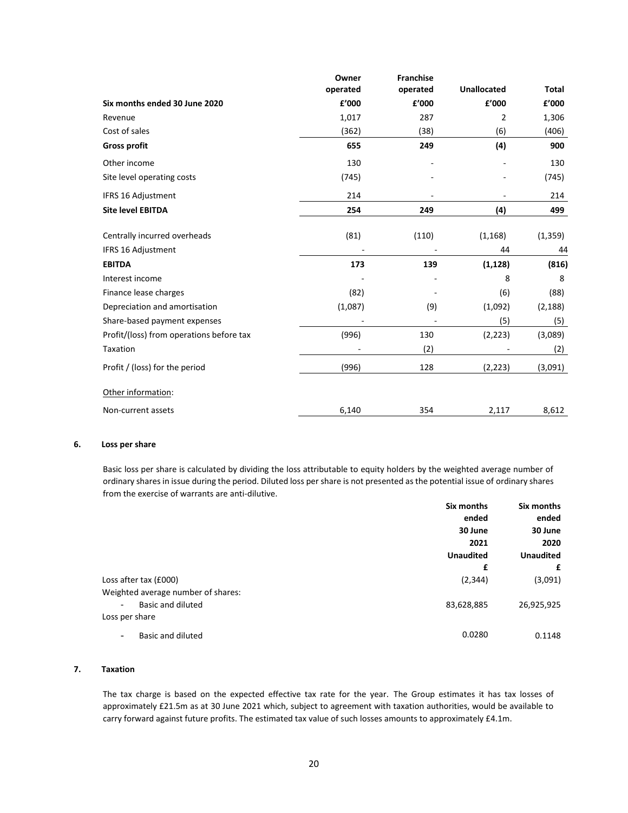|                                          | Owner<br>operated | <b>Franchise</b><br>operated | <b>Unallocated</b> | Total    |
|------------------------------------------|-------------------|------------------------------|--------------------|----------|
| Six months ended 30 June 2020            | £'000             | £'000                        | £'000              | £'000    |
| Revenue                                  | 1,017             | 287                          | 2                  | 1,306    |
| Cost of sales                            | (362)             | (38)                         | (6)                | (406)    |
| <b>Gross profit</b>                      | 655               | 249                          | (4)                | 900      |
| Other income                             | 130               |                              |                    | 130      |
| Site level operating costs               | (745)             |                              |                    | (745)    |
| <b>IFRS 16 Adjustment</b>                | 214               |                              |                    | 214      |
| <b>Site level EBITDA</b>                 | 254               | 249                          | (4)                | 499      |
| Centrally incurred overheads             | (81)              | (110)                        | (1, 168)           | (1, 359) |
| IFRS 16 Adjustment                       |                   |                              | 44                 | 44       |
| <b>EBITDA</b>                            | 173               | 139                          | (1, 128)           | (816)    |
| Interest income                          |                   |                              | 8                  | 8        |
| Finance lease charges                    | (82)              |                              | (6)                | (88)     |
| Depreciation and amortisation            | (1,087)           | (9)                          | (1,092)            | (2, 188) |
| Share-based payment expenses             |                   |                              | (5)                | (5)      |
| Profit/(loss) from operations before tax | (996)             | 130                          | (2, 223)           | (3,089)  |
| Taxation                                 |                   | (2)                          |                    | (2)      |
| Profit / (loss) for the period           | (996)             | 128                          | (2, 223)           | (3,091)  |
| Other information:                       |                   |                              |                    |          |
| Non-current assets                       | 6,140             | 354                          | 2,117              | 8,612    |

#### **6. Loss per share**

Basic loss per share is calculated by dividing the loss attributable to equity holders by the weighted average number of ordinary shares in issue during the period. Diluted loss per share is not presented as the potential issue of ordinary shares from the exercise of warrants are anti-dilutive.

|                                    | Six months       | Six months       |
|------------------------------------|------------------|------------------|
|                                    | ended            | ended            |
|                                    | 30 June          | 30 June          |
|                                    | 2021             | 2020             |
|                                    | <b>Unaudited</b> | <b>Unaudited</b> |
|                                    | £                | £                |
| Loss after tax (£000)              | (2, 344)         | (3,091)          |
| Weighted average number of shares: |                  |                  |
| Basic and diluted                  | 83,628,885       | 26,925,925       |
| Loss per share                     |                  |                  |
| Basic and diluted<br>۰             | 0.0280           | 0.1148           |

#### **7. Taxation**

The tax charge is based on the expected effective tax rate for the year. The Group estimates it has tax losses of approximately £21.5m as at 30 June 2021 which, subject to agreement with taxation authorities, would be available to carry forward against future profits. The estimated tax value of such losses amounts to approximately £4.1m.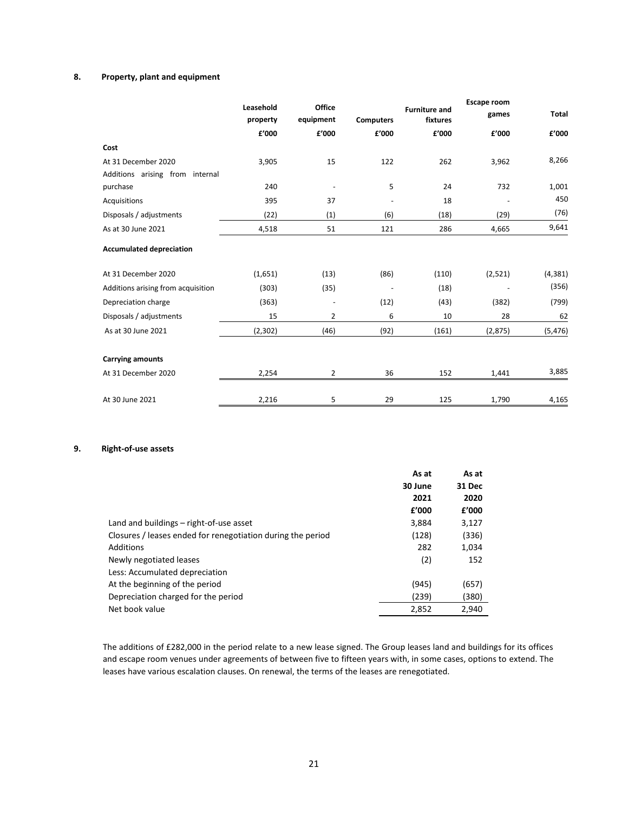### **8. Property, plant and equipment**

|                                    | Leasehold<br>property | Office<br>equipment |                          | <b>Furniture and</b><br>fixtures<br><b>Computers</b> |         | <b>Total</b> |
|------------------------------------|-----------------------|---------------------|--------------------------|------------------------------------------------------|---------|--------------|
|                                    | £'000                 | £'000               | £'000                    | £'000                                                | £'000   | £'000        |
| Cost                               |                       |                     |                          |                                                      |         |              |
| At 31 December 2020                | 3,905                 | 15                  | 122                      | 262                                                  | 3,962   | 8,266        |
| Additions arising from internal    |                       |                     |                          |                                                      |         |              |
| purchase                           | 240                   |                     | 5                        | 24                                                   | 732     | 1,001        |
| Acquisitions                       | 395                   | 37                  |                          | 18                                                   |         | 450          |
| Disposals / adjustments            | (22)                  | (1)                 | (6)                      | (18)                                                 | (29)    | (76)         |
| As at 30 June 2021                 | 4,518                 | 51                  | 121                      | 286                                                  | 4,665   | 9,641        |
| <b>Accumulated depreciation</b>    |                       |                     |                          |                                                      |         |              |
| At 31 December 2020                | (1,651)               | (13)                | (86)                     | (110)                                                | (2,521) | (4, 381)     |
| Additions arising from acquisition | (303)                 | (35)                | $\overline{\phantom{a}}$ | (18)                                                 |         | (356)        |
| Depreciation charge                | (363)                 |                     | (12)                     | (43)                                                 | (382)   | (799)        |
| Disposals / adjustments            | 15                    | 2                   | 6                        | 10                                                   | 28      | 62           |
| As at 30 June 2021                 | (2,302)               | (46)                | (92)                     | (161)                                                | (2,875) | (5, 476)     |
| <b>Carrying amounts</b>            |                       |                     |                          |                                                      |         |              |
| At 31 December 2020                | 2,254                 | 2                   | 36                       | 152                                                  | 1,441   | 3,885        |
| At 30 June 2021                    | 2,216                 | 5                   | 29                       | 125                                                  | 1,790   | 4,165        |

## **9. Right-of-use assets**

|                                                             | As at<br>30 June | As at<br>31 Dec |
|-------------------------------------------------------------|------------------|-----------------|
|                                                             | 2021             | 2020            |
|                                                             | f'000            | £'000           |
| Land and buildings – right-of-use asset                     | 3,884            | 3,127           |
| Closures / leases ended for renegotiation during the period | (128)            | (336)           |
| Additions                                                   | 282              | 1,034           |
| Newly negotiated leases                                     | (2)              | 152             |
| Less: Accumulated depreciation                              |                  |                 |
| At the beginning of the period                              | (945)            | (657)           |
| Depreciation charged for the period                         | (239)            | (380)           |
| Net book value                                              | 2,852            | 2,940           |

The additions of £282,000 in the period relate to a new lease signed. The Group leases land and buildings for its offices and escape room venues under agreements of between five to fifteen years with, in some cases, options to extend. The leases have various escalation clauses. On renewal, the terms of the leases are renegotiated.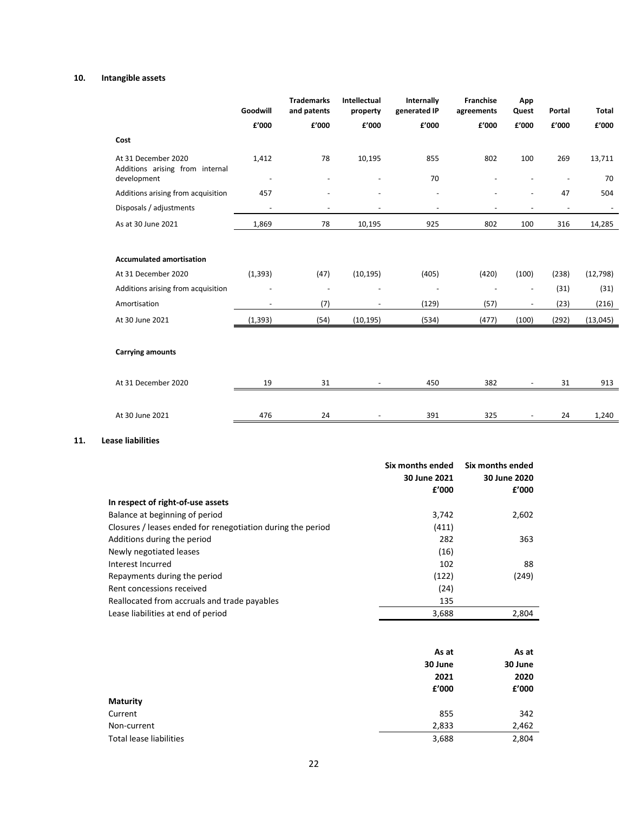### **10. Intangible assets**

|                                                        | Goodwill                 | <b>Trademarks</b><br>and patents | Intellectual<br>property | Internally<br>generated IP | Franchise<br>agreements | App<br>Quest             | Portal         | <b>Total</b> |
|--------------------------------------------------------|--------------------------|----------------------------------|--------------------------|----------------------------|-------------------------|--------------------------|----------------|--------------|
|                                                        | £'000                    | £'000                            | £'000                    | £'000                      | £'000                   | £'000                    | £'000          | £'000        |
| Cost                                                   |                          |                                  |                          |                            |                         |                          |                |              |
| At 31 December 2020<br>Additions arising from internal | 1,412                    | 78                               | 10,195                   | 855                        | 802                     | 100                      | 269            | 13,711       |
| development                                            | $\overline{\phantom{a}}$ |                                  |                          | 70                         |                         |                          |                | 70           |
| Additions arising from acquisition                     | 457                      |                                  |                          | L,                         |                         | $\overline{\phantom{a}}$ | 47             | 504          |
| Disposals / adjustments                                |                          |                                  |                          |                            |                         |                          | $\blacksquare$ |              |
| As at 30 June 2021                                     | 1,869                    | 78                               | 10,195                   | 925                        | 802                     | 100                      | 316            | 14,285       |
|                                                        |                          |                                  |                          |                            |                         |                          |                |              |
| <b>Accumulated amortisation</b>                        |                          |                                  |                          |                            |                         |                          |                |              |
| At 31 December 2020                                    | (1, 393)                 | (47)                             | (10, 195)                | (405)                      | (420)                   | (100)                    | (238)          | (12, 798)    |
| Additions arising from acquisition                     |                          | ÷,                               |                          |                            |                         |                          | (31)           | (31)         |
| Amortisation                                           | $\overline{a}$           | (7)                              |                          | (129)                      | (57)                    |                          | (23)           | (216)        |
| At 30 June 2021                                        | (1, 393)                 | (54)                             | (10, 195)                | (534)                      | (477)                   | (100)                    | (292)          | (13,045)     |
|                                                        |                          |                                  |                          |                            |                         |                          |                |              |
| <b>Carrying amounts</b>                                |                          |                                  |                          |                            |                         |                          |                |              |
| At 31 December 2020                                    | 19                       | 31                               |                          | 450                        | 382                     |                          | 31             | 913          |
|                                                        |                          |                                  |                          |                            |                         |                          |                |              |
| At 30 June 2021                                        | 476                      | 24                               |                          | 391                        | 325                     |                          | 24             | 1,240        |

## **11. Lease liabilities**

|                                                             | Six months ended<br>30 June 2021 | Six months ended<br>30 June 2020 |
|-------------------------------------------------------------|----------------------------------|----------------------------------|
|                                                             | £'000                            | £'000                            |
| In respect of right-of-use assets                           |                                  |                                  |
| Balance at beginning of period                              | 3,742                            | 2,602                            |
| Closures / leases ended for renegotiation during the period | (411)                            |                                  |
| Additions during the period                                 | 282                              | 363                              |
| Newly negotiated leases                                     | (16)                             |                                  |
| Interest Incurred                                           | 102                              | 88                               |
| Repayments during the period                                | (122)                            | (249)                            |
| Rent concessions received                                   | (24)                             |                                  |
| Reallocated from accruals and trade payables                | 135                              |                                  |
| Lease liabilities at end of period                          | 3,688                            | 2,804                            |

|                                | As at   | As at   |
|--------------------------------|---------|---------|
|                                | 30 June | 30 June |
|                                | 2021    | 2020    |
|                                | £'000   | £'000   |
| <b>Maturity</b>                |         |         |
| Current                        | 855     | 342     |
| Non-current                    | 2,833   | 2,462   |
| <b>Total lease liabilities</b> | 3,688   | 2,804   |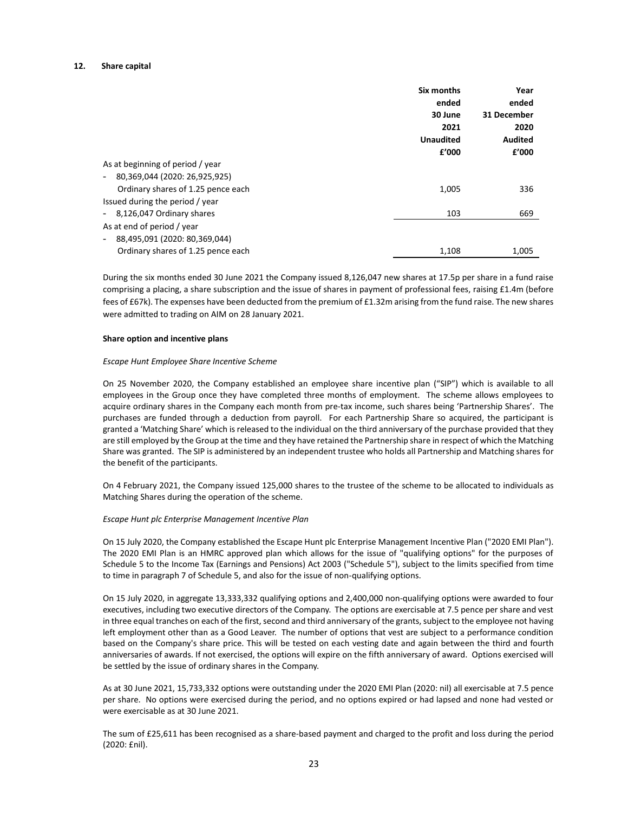#### **12. Share capital**

|                                                           | Six months<br>ended<br>30 June<br>2021<br><b>Unaudited</b><br>f'000 | Year<br>ended<br>31 December<br>2020<br><b>Audited</b><br>f'000 |
|-----------------------------------------------------------|---------------------------------------------------------------------|-----------------------------------------------------------------|
| As at beginning of period / year                          |                                                                     |                                                                 |
| 80,369,044 (2020: 26,925,925)<br>$\sim$                   |                                                                     |                                                                 |
| Ordinary shares of 1.25 pence each                        | 1,005                                                               | 336                                                             |
| Issued during the period / year                           |                                                                     |                                                                 |
| 8,126,047 Ordinary shares<br>$\sim$                       | 103                                                                 | 669                                                             |
| As at end of period / year                                |                                                                     |                                                                 |
| 88,495,091 (2020: 80,369,044)<br>$\overline{\phantom{a}}$ |                                                                     |                                                                 |
| Ordinary shares of 1.25 pence each                        | 1,108                                                               | 1,005                                                           |

During the six months ended 30 June 2021 the Company issued 8,126,047 new shares at 17.5p per share in a fund raise comprising a placing, a share subscription and the issue of shares in payment of professional fees, raising £1.4m (before fees of £67k). The expenses have been deducted from the premium of £1.32m arising from the fund raise. The new shares were admitted to trading on AIM on 28 January 2021.

#### **Share option and incentive plans**

#### *Escape Hunt Employee Share Incentive Scheme*

On 25 November 2020, the Company established an employee share incentive plan ("SIP") which is available to all employees in the Group once they have completed three months of employment. The scheme allows employees to acquire ordinary shares in the Company each month from pre-tax income, such shares being 'Partnership Shares'. The purchases are funded through a deduction from payroll. For each Partnership Share so acquired, the participant is granted a 'Matching Share' which is released to the individual on the third anniversary of the purchase provided that they are still employed by the Group at the time and they have retained the Partnership share in respect of which the Matching Share was granted. The SIP is administered by an independent trustee who holds all Partnership and Matching shares for the benefit of the participants.

On 4 February 2021, the Company issued 125,000 shares to the trustee of the scheme to be allocated to individuals as Matching Shares during the operation of the scheme.

#### *Escape Hunt plc Enterprise Management Incentive Plan*

On 15 July 2020, the Company established the Escape Hunt plc Enterprise Management Incentive Plan ("2020 EMI Plan"). The 2020 EMI Plan is an HMRC approved plan which allows for the issue of "qualifying options" for the purposes of Schedule 5 to the Income Tax (Earnings and Pensions) Act 2003 ("Schedule 5"), subject to the limits specified from time to time in paragraph 7 of Schedule 5, and also for the issue of non-qualifying options.

On 15 July 2020, in aggregate 13,333,332 qualifying options and 2,400,000 non-qualifying options were awarded to four executives, including two executive directors of the Company. The options are exercisable at 7.5 pence per share and vest in three equal tranches on each of the first, second and third anniversary of the grants, subject to the employee not having left employment other than as a Good Leaver. The number of options that vest are subject to a performance condition based on the Company's share price. This will be tested on each vesting date and again between the third and fourth anniversaries of awards. If not exercised, the options will expire on the fifth anniversary of award. Options exercised will be settled by the issue of ordinary shares in the Company.

As at 30 June 2021, 15,733,332 options were outstanding under the 2020 EMI Plan (2020: nil) all exercisable at 7.5 pence per share. No options were exercised during the period, and no options expired or had lapsed and none had vested or were exercisable as at 30 June 2021.

The sum of £25,611 has been recognised as a share-based payment and charged to the profit and loss during the period (2020: £nil).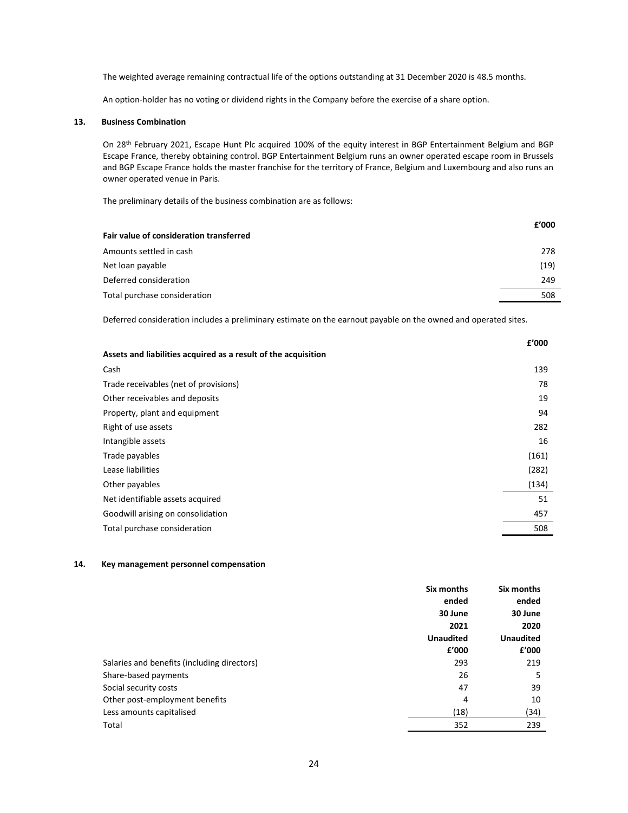The weighted average remaining contractual life of the options outstanding at 31 December 2020 is 48.5 months.

An option-holder has no voting or dividend rights in the Company before the exercise of a share option.

#### **13. Business Combination**

On 28th February 2021, Escape Hunt Plc acquired 100% of the equity interest in BGP Entertainment Belgium and BGP Escape France, thereby obtaining control. BGP Entertainment Belgium runs an owner operated escape room in Brussels and BGP Escape France holds the master franchise for the territory of France, Belgium and Luxembourg and also runs an owner operated venue in Paris.

The preliminary details of the business combination are as follows:

|                                         | £'000 |
|-----------------------------------------|-------|
| Fair value of consideration transferred |       |
| Amounts settled in cash                 | 278   |
| Net loan payable                        | (19)  |
| Deferred consideration                  | 249   |
| Total purchase consideration            | 508   |
|                                         |       |

Deferred consideration includes a preliminary estimate on the earnout payable on the owned and operated sites.

| £'000 |
|-------|
|       |
| 139   |
| 78    |
| 19    |
| 94    |
| 282   |
| 16    |
| (161) |
| (282) |
| (134) |
| 51    |
| 457   |
| 508   |
|       |

### **14. Key management personnel compensation**

|                                             | Six months       | Six months       |
|---------------------------------------------|------------------|------------------|
|                                             | ended            | ended            |
|                                             | 30 June          | 30 June          |
|                                             | 2021             | 2020             |
|                                             | <b>Unaudited</b> | <b>Unaudited</b> |
|                                             | £'000            | £'000            |
| Salaries and benefits (including directors) | 293              | 219              |
| Share-based payments                        | 26               | 5                |
| Social security costs                       | 47               | 39               |
| Other post-employment benefits              | 4                | 10               |
| Less amounts capitalised                    | (18)             | (34)             |
| Total                                       | 352              | 239              |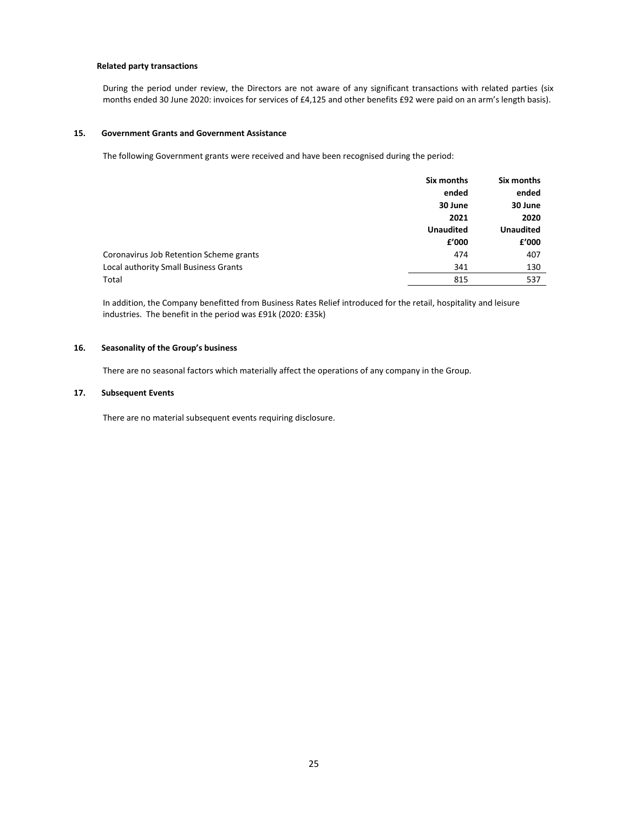#### **Related party transactions**

During the period under review, the Directors are not aware of any significant transactions with related parties (six months ended 30 June 2020: invoices for services of £4,125 and other benefits £92 were paid on an arm's length basis).

#### **15. Government Grants and Government Assistance**

The following Government grants were received and have been recognised during the period:

|                                         | Six months       | Six months       |
|-----------------------------------------|------------------|------------------|
|                                         | ended            | ended            |
|                                         | 30 June          | 30 June          |
|                                         | 2021             | 2020             |
|                                         | <b>Unaudited</b> | <b>Unaudited</b> |
|                                         | f'000            | £'000            |
| Coronavirus Job Retention Scheme grants | 474              | 407              |
| Local authority Small Business Grants   | 341              | 130              |
| Total                                   | 815              | 537              |
|                                         |                  |                  |

In addition, the Company benefitted from Business Rates Relief introduced for the retail, hospitality and leisure industries. The benefit in the period was £91k (2020: £35k)

#### **16. Seasonality of the Group's business**

There are no seasonal factors which materially affect the operations of any company in the Group.

#### **17. Subsequent Events**

There are no material subsequent events requiring disclosure.